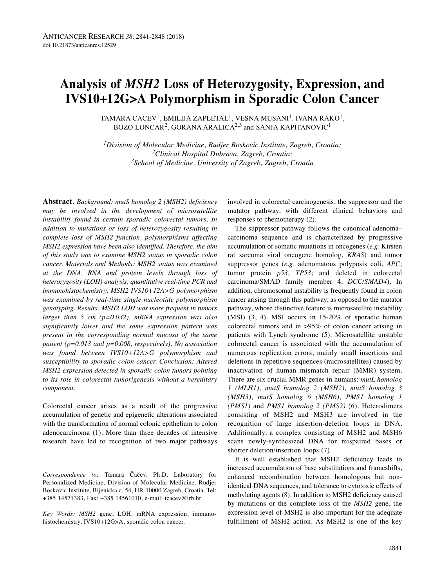# **Analysis of** *MSH2* **Loss of Heterozygosity, Expression, and IVS10+12G>A Polymorphism in Sporadic Colon Cancer**

TAMARA CACEV $^1$ , EMILIJA ZAPLETAL $^1$ , VESNA MUSANI $^1$ , IVANA RAKO $^1$ , BOZO LONCAR<sup>2</sup>, GORANA ARALICA<sup>2,3</sup> and SANJA KAPITANOVIC<sup>1</sup>

*1Division of Molecular Medicine, Rudjer Boskovic Institute, Zagreb, Croatia; 2Clinical Hospital Dubrava, Zagreb, Croatia; 3School of Medicine, University of Zagreb, Zagreb, Croatia*

**Abstract.** *Background: mutS homolog 2 (MSH2) deficiency may be involved in the development of microsatellite instability found in certain sporadic colorectal tumors. In addition to mutations or loss of heterozygosity resulting in complete loss of MSH2 function, polymorphisms affecting MSH2 expression have been also identified. Therefore, the aim of this study was to examine MSH2 status in sporadic colon cancer. Materials and Methods: MSH2 status was examined at the DNA, RNA and protein levels through loss of heterozygosity (LOH) analysis, quantitative real-time PCR and immunohistochemistry. MSH2 IVS10+12A>G polymorphism was examined by real-time single nucleotide polymorphism genotyping. Results: MSH2 LOH was more frequent in tumors larger than 5 cm (p=0.032), mRNA expression was also significantly lower and the same expression pattern was present in the corresponding normal mucosa of the same patient (p=0.013 and p=0.008, respectively). No association was found between IVS10+12A>G polymorphism and susceptibility to sporadic colon cancer. Conclusion: Altered MSH2 expression detected in sporadic colon tumors pointing to its role in colorectal tumorigenesis without a hereditary component.*

Colorectal cancer arises as a result of the progressive accumulation of genetic and epigenetic alterations associated with the transformation of normal colonic epithelium to colon adenocarcinoma (1). More than three decades of intensive research have led to recognition of two major pathways

*Correspondence to:* Tamara Čačev, Ph.D. Laboratory for Personalized Medicine, Division of Molecular Medicine, Rudjer Boskovic Institute, Bijenicka c. 54, HR-10000 Zagreb, Croatia. Tel: +385 14571383, Fax: +385 14561010, e-mail: tcacev@irb.hr

*Key Words: MSH2* gene, LOH, mRNA expression, immunohistochemistry, IVS10+12G>A, sporadic colon cancer.

involved in colorectal carcinogenesis, the suppressor and the mutator pathway, with different clinical behaviors and responses to chemotherapy (2).

The suppressor pathway follows the canonical adenoma– carcinoma sequence and is characterized by progressive accumulation of somatic mutations in oncogenes (*e.g.* Kirsten rat sarcoma viral oncogene homolog, *KRAS*) and tumor suppressor genes (*e.g.* adenomatous polyposis coli, *APC*; tumor protein *p53, TP53*; and deleted in colorectal carcinoma/SMAD family member 4, *DCC/SMAD4*). In addition, chromosomal instability is frequently found in colon cancer arising through this pathway, as opposed to the mutator pathway, whose distinctive feature is microsatellite instability (MSI) (3, 4). MSI occurs in 15-20% of sporadic human colorectal tumors and in >95% of colon cancer arising in patients with Lynch syndrome (5). Microsatellite unstable colorectal cancer is associated with the accumulation of numerous replication errors, mainly small insertions and deletions in repetitive sequences (microsatellites) caused by inactivation of human mismatch repair (MMR) system. There are six crucial MMR genes in humans: *mutL homolog 1 (MLH1), mutS homolog 2 (MSH2), mutS homolog 3 (MSH3), mutS homolog 6 (MSH6), PMS1 homolog 1 (PMS1)* and *PMS1 homolog 2 (PMS2)* (6). Heterodimers consisting of MSH2 and MSH3 are involved in the recognition of large insertion-deletion loops in DNA. Additionally, a complex consisting of MSH2 and MSH6 scans newly-synthesized DNA for mispaired bases or shorter deletion/insertion loops (7).

It is well established that MSH2 deficiency leads to increased accumulation of base substitutions and frameshifts, enhanced recombination between homologous but nonidentical DNA sequences, and tolerance to cytotoxic effects of methylating agents (8). In addition to MSH2 deficiency caused by mutations or the complete loss of the *MSH2* gene, the expression level of MSH2 is also important for the adequate fulfillment of MSH2 action. As MSH2 is one of the key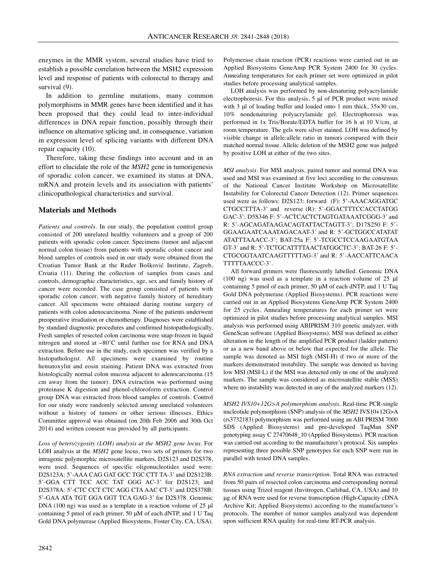enzymes in the MMR system, several studies have tried to establish a possible correlation between the MSH2 expression level and response of patients with colorectal to therapy and survival  $(9)$ .

In addition to germline mutations, many common polymorphisms in MMR genes have been identified and it has been proposed that they could lead to inter-individual differences in DNA repair function, possibly through their influence on alternative splicing and, in consequence, variation in expression level of splicing variants with different DNA repair capacity (10).

Therefore, taking these findings into account and in an effort to elucidate the role of the *MSH2* gene in tumorigenesis of sporadic colon cancer, we examined its status at DNA, mRNA and protein levels and its association with patients' clinicopathological characteristics and survival.

## **Materials and Methods**

*Patients and controls.* In our study, the population control group consisted of 200 unrelated healthy volunteers and a group of 200 patients with sporadic colon cancer. Specimens (tumor and adjacent normal colon tissue) from patients with sporadic colon cancer and blood samples of controls used in our study were obtained from the Croatian Tumor Bank at the Ruđer Bošković Institute, Zagreb, Croatia (11). During the collection of samples from cases and controls, demographic characteristics, age, sex and family history of cancer were recorded. The case group consisted of patients with sporadic colon cancer, with negative family history of hereditary cancer. All specimens were obtained during routine surgery of patients with colon adenocarcinoma. None of the patients underwent preoperative irradiation or chemotherapy. Diagnoses were established by standard diagnostic procedures and confirmed histopathologically. Fresh samples of resected colon carcinoma were snap-frozen in liquid nitrogen and stored at −80˚C until further use for RNA and DNA extraction. Before use in the study, each specimen was verified by a histopathologist. All specimens were examined by routine hematoxylin and eosin staining. Patient DNA was extracted from histologically normal colon mucosa adjacent to adenocarcinoma (15 cm away from the tumor). DNA extraction was performed using proteinase K digestion and phenol-chloroform extraction. Control group DNA was extracted from blood samples of controls. Control for our study were randomly selected among unrelated volunteers without a history of tumors or other serious illnesses. Ethics Committee approval was obtained (on 20th Feb 2006 and 30th Oct 2014) and written consent was provided by all participants.

*Loss of heterozygosity (LOH) analysis at the MSH2 gene locus*. For LOH analysis at the *MSH2* gene locus, two sets of primers for two intragenic polymorphic microsatellite markers, D2S123 and D2S378, were used. Sequences of specific oligonucleotides used were: D2S123A: 5'-AAA CAG GAT GCC TGC CTT TA-3' and D2S123B: 5'-GGA CTT TCC ACC TAT GGG AC-3' for D2S123; and D2S378A: 5'-CTC CCT CTC AGG CTA AAC CT-3' and D2S378B: 5'-GAA ATA TGT GGA GGT TCA GAG-3' for D2S378. Genomic DNA (100 ng) was used as a template in a reaction volume of 25 μl containing 5 pmol of each primer, 50 μM of each dNTP, and 1 U Taq Gold DNA polymerase (Applied Biosystems, Foster City, CA, USA). Polymerase chain reaction (PCR) reactions were carried out in an Applied Biosystems GeneAmp PCR System 2400 for 30 cycles. Annealing temperatures for each primer set were optimized in pilot studies before processing analytical samples.

LOH analysis was performed by non-denaturing polyacrylamide electrophoresis. For this analysis, 5 μl of PCR product were mixed with 3 μl of loading buffer and loaded onto 1 mm thick, 35×30 cm, 10% nondenaturing polyacrylamide gel. Electrophoresis was performed in 1x Tris/Borate/EDTA buffer for 16 h at 10 V/cm, at room temperature. The gels were silver stained. LOH was defined by visible change in allele:allele ratio in tumors compared with their matched normal tissue. Allelic deletion of the MSH2 gene was judged by positive LOH at either of the two sites.

*MSI analysis.* For MSI analysis, paired tumor and normal DNA was used and MSI was examined at five loci according to the consensus of the National Cancer Institute Workshop on Microsatellite Instability for Colorectal Cancer Detection (12). Primer sequences used were as follows: D2S123: forward (F): 5'-AAACAGGATGC CTGCCTTTA-3' and reverse (R): 5'-GGACTTTCCACCTATGG GAC-3'; D5S346 F: 5'-ACTCACTCTAGTGATAAATCGGG-3' and R: 5'-AGCAGATAAGACAGTATTACTAGTT-3'; D17S250 F: 5'- GGAAGAATCAAATAGACAAT-3' and R: 5'-GCTGGCCATATAT ATATTTAAACC-3'; BAT-25a F: 5'-TCGCCTCCAAGAATGTAA GT-3' and R: 5'-TCTGCATTTTAACTATGGCTC-3'; BAT-26 F: 5'- CTGCGGTAATCAAGTTTTTAG-3' and R: 5'-AACCATTCAACA TTTTTAACCC-3'.

All forward primers were fluorescently labelled. Genomic DNA (100 ng) was used as a template in a reaction volume of 25 μl containing 5 pmol of each primer, 50 μM of each dNTP, and 1 U Taq Gold DNA polymerase (Applied Biosystems). PCR reactions were carried out in an Applied Biosystems GeneAmp PCR System 2400 for 25 cycles. Annealing temperatures for each primer set were optimized in pilot studies before processing analytical samples. MSI analysis was performed using ABIPRISM 310 genetic analyzer, with GeneScan software (Applied Biosystems). MSI was defined as either alteration in the length of the amplified PCR product (ladder pattern) or as a new band above or below that expected for the allele. The sample was denoted as MSI high (MSI-H) if two or more of the markers demonstrated instability. The sample was denoted as having low MSI (MSI-L) if the MSI was detected only in one of the analyzed markers. The sample was considered as microsatellite stable (MSS) where no instability was detected in any of the analyzed markers  $(12)$ .

*MSH2 IVS10+12G>A polymorphism analysis.* Real-time PCR-single nucleotide polymorphism (SNP) analysis of the *MSH2* IVS10+12G>A (rs3732183) polymorphism was performed using an ABI PRISM 7000 SDS (Applied Biosystems) and pre-developed TaqMan SNP genotyping assay C 27470648\_10 (Applied Biosystems). PCR reaction was carried out according to the manufacturer's protocol. Six samples representing three possible SNP genotypes for each SNP were run in parallel with tested DNA samples.

*RNA extraction and reverse transcription.* Total RNA was extracted from 50 pairs of resected colon carcinoma and corresponding normal tissues using Trizol reagent (Invitrogen, Carlsbad, CA, USA) and 10 μg of RNA were used for reverse transcription (High-Capacity cDNA Archive Kit; Applied Biosystems) according to the manufacturer's protocols. The number of tumor samples analyzed was dependent upon sufficient RNA quality for real-time RT-PCR analysis.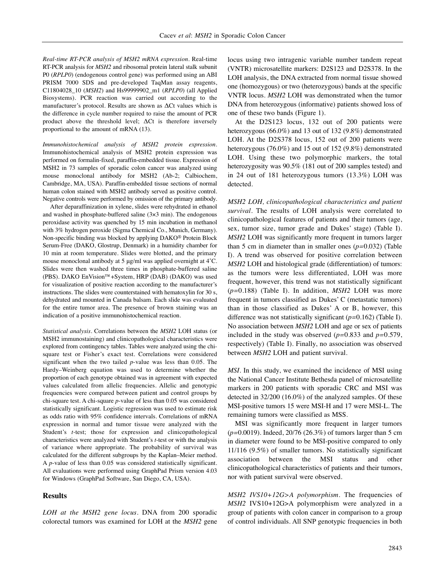*Real-time RT-PCR analysis of MSH2 mRNA expression.* Real-time RT-PCR analysis for *MSH2* and ribosomal protein lateral stalk subunit P0 (*RPLP0*) (endogenous control gene) was performed using an ABI PRISM 7000 SDS and pre-developed TaqMan assay reagents, C11804028\_10 (*MSH2*) and Hs99999902\_m1 (*RPLP0*) (all Applied Biosystems). PCR reaction was carried out according to the manufacturer's protocol. Results are shown as ΔCt values which is the difference in cycle number required to raise the amount of PCR product above the threshold level;  $\Delta$ Ct is therefore inversely proportional to the amount of mRNA (13).

*Immunohistochemical analysis of MSH2 protein expression.* Immunohistochemical analysis of MSH2 protein expression was performed on formalin-fixed, paraffin-embedded tissue. Expression of MSH2 in 73 samples of sporadic colon cancer was analyzed using mouse monoclonal antibody for MSH2 (Ab-2; Calbiochem, Cambridge, MA, USA). Paraffin-embedded tissue sections of normal human colon stained with MSH2 antibody served as positive control. Negative controls were performed by omission of the primary antibody.

After deparaffinization in xylene, slides were rehydrated in ethanol and washed in phosphate-buffered saline (3×3 min). The endogenous peroxidase activity was quenched by 15 min incubation in methanol with 3% hydrogen peroxide (Sigma Chemical Co., Munich, Germany). Non-specific binding was blocked by applying DAKO® Protein Block Serum-Free (DAKO, Glostrup, Denmark) in a humidity chamber for 10 min at room temperature. Slides were blotted, and the primary mouse monoclonal antibody at 5 μg/ml was applied overnight at 4˚C. Slides were then washed three times in phosphate-buffered saline (PBS). DAKO EnVision™+System, HRP (DAB) (DAKO) was used for visualization of positive reaction according to the manufacturer's instructions. The slides were counterstained with hematoxylin for 30 s, dehydrated and mounted in Canada balsam. Each slide was evaluated for the entire tumor area. The presence of brown staining was an indication of a positive immunohistochemical reaction.

*Statistical analysis.* Correlations between the *MSH2* LOH status (or MSH2 immunostaining) and clinicopathological characteristics were explored from contingency tables. Tables were analyzed using the chisquare test or Fisher's exact test. Correlations were considered significant when the two tailed *p*-value was less than 0.05. The Hardy–Weinberg equation was used to determine whether the proportion of each genotype obtained was in agreement with expected values calculated from allelic frequencies. Allelic and genotypic frequencies were compared between patient and control groups by chi-square test. A chi-square *p*-value of less than 0.05 was considered statistically significant. Logistic regression was used to estimate risk as odds ratio with 95% confidence intervals. Correlations of mRNA expression in normal and tumor tissue were analyzed with the Student's *t-*test; those for expression and clinicopathological characteristics were analyzed with Student's *t*-test or with the analysis of variance where appropriate. The probability of survival was calculated for the different subgroups by the Kaplan–Meier method. A *p*-value of less than 0.05 was considered statistically significant. All evaluations were performed using GraphPad Prism version 4.03 for Windows (GraphPad Software, San Diego, CA, USA).

## **Results**

*LOH at the MSH2 gene locus.* DNA from 200 sporadic colorectal tumors was examined for LOH at the *MSH2* gene locus using two intragenic variable number tandem repeat (VNTR) microsatellite markers: D2S123 and D2S378. In the LOH analysis, the DNA extracted from normal tissue showed one (homozygous) or two (heterozygous) bands at the specific VNTR locus. *MSH2* LOH was demonstrated when the tumor DNA from heterozygous (informative) patients showed loss of one of these two bands (Figure 1).

At the D2S123 locus, 132 out of 200 patients were heterozygous (66.0%) and 13 out of 132 (9.8%) demonstrated LOH. At the D2S378 locus, 152 out of 200 patients were heterozygous (76.0%) and 15 out of 152 (9.8%) demonstrated LOH. Using these two polymorphic markers, the total heterozygosity was 90.5% (181 out of 200 samples tested) and in 24 out of 181 heterozygous tumors (13.3%) LOH was detected.

*MSH2 LOH, clinicopathological characteristics and patient survival.* The results of LOH analysis were correlated to clinicopathological features of patients and their tumors (age, sex, tumor size, tumor grade and Dukes' stage) (Table I). *MSH2* LOH was significantly more frequent in tumors larger than 5 cm in diameter than in smaller ones (*p=*0.032) (Table I). A trend was observed for positive correlation between *MSH2* LOH and histological grade (differentiation) of tumors: as the tumors were less differentiated, LOH was more frequent, however, this trend was not statistically significant (*p=*0.188) (Table I). In addition, *MSH2* LOH was more frequent in tumors classified as Dukes' C (metastatic tumors) than in those classified as Dukes' A or B, however, this difference was not statistically significant (*p=*0.162) (Table I). No association between *MSH2* LOH and age or sex of patients included in the study was observed (*p=*0.833 and *p=*0.579, respectively) (Table I). Finally, no association was observed between *MSH2* LOH and patient survival.

*MSI.* In this study, we examined the incidence of MSI using the National Cancer Institute Bethesda panel of microsatellite markers in 200 patients with sporadic CRC and MSI was detected in 32/200 (16.0%) of the analyzed samples. Of these MSI-positive tumors 15 were MSI-H and 17 were MSI-L. The remaining tumors were classified as MSS.

MSI was significantly more frequent in larger tumors (*p=*0.0019). Indeed, 20/76 (26.3%) of tumors larger than 5 cm in diameter were found to be MSI-positive compared to only 11/116 (9.5%) of smaller tumors. No statistically significant association between the MSI status and other clinicopathological characteristics of patients and their tumors, nor with patient survival were observed.

*MSH2 IVS10+12G>A polymorphism.* The frequencies of *MSH2* IVS10+12G>A polymorphism were analyzed in a group of patients with colon cancer in comparison to a group of control individuals. All SNP genotypic frequencies in both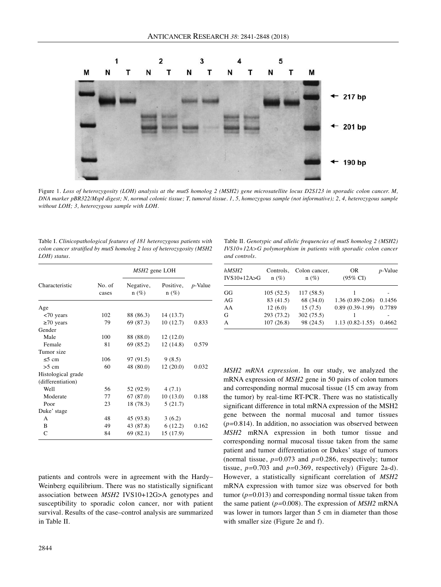

Figure 1. Loss of heterozygosity (LOH) analysis at the mutS homolog 2 (MSH2) gene microsatellite locus D2S123 in sporadic colon cancer. M, DNA marker pBR322/MspI digest; N, normal colonic tissue; T, tumoral tissue. 1, 5, homozygous sample (not informative); 2, 4, heterozygous sample *without LOH; 3, heterozygous sample with LOH.*

| Table I. Clinicopathological features of 181 heterozygous patients with |
|-------------------------------------------------------------------------|
| colon cancer stratified by mutS homolog 2 loss of heterozygosity (MSH2  |
| $LOH)$ status.                                                          |

| Characteristic     |                 | MSH <sub>2</sub> gene LOH |                      |                 |
|--------------------|-----------------|---------------------------|----------------------|-----------------|
|                    | No. of<br>cases | Negative,<br>$n(\%)$      | Positive,<br>$n(\%)$ | <i>p</i> -Value |
| Age                |                 |                           |                      |                 |
| $<$ 70 years       | 102             | 88 (86.3)                 | 14(13.7)             |                 |
| $\geq 70$ years    | 79              | 69 (87.3)                 | 10(12.7)             | 0.833           |
| Gender             |                 |                           |                      |                 |
| Male               | 100             | 88 (88.0)                 | 12(12.0)             |                 |
| Female             | 81              | 69 (85.2)                 | 12(14.8)             | 0.579           |
| Tumor size         |                 |                           |                      |                 |
| $\leq 5$ cm        | 106             | 97 (91.5)                 | 9(8.5)               |                 |
| $>5$ cm            | 60              | 48 (80.0)                 | 12(20.0)             | 0.032           |
| Histological grade |                 |                           |                      |                 |
| (differentiation)  |                 |                           |                      |                 |
| Well               | 56              | 52 (92.9)                 | 4(7.1)               |                 |
| Moderate           | 77              | 67(87.0)                  | 10(13.0)             | 0.188           |
| Poor               | 23              | 18(78.3)                  | 5(21.7)              |                 |
| Duke' stage        |                 |                           |                      |                 |
| A                  | 48              | 45 (93.8)                 | 3(6.2)               |                 |
| B                  | 49              | 43 (87.8)                 | 6(12.2)              | 0.162           |
| C                  | 84              | 69(82.1)                  | 15 (17.9)            |                 |
|                    |                 |                           |                      |                 |

patients and controls were in agreement with the Hardy– Weinberg equilibrium. There was no statistically significant association between *MSH2* IVS10+12G>A genotypes and susceptibility to sporadic colon cancer, nor with patient survival. Results of the case–control analysis are summarized in Table II.

Table II. *Genotypic and allelic frequencies of mutS homolog 2 (MSH2) IVS10+12A>G polymorphism in patients with sporadic colon cancer and controls.*

| hMSH2<br>$IVS10+12A>G$ | Controls,<br>$n(\%)$ | Colon cancer,<br>$n(\%)$ | <b>OR</b><br>$(95\% \text{ CI})$ | $p$ -Value |
|------------------------|----------------------|--------------------------|----------------------------------|------------|
| GG                     | 105(52.5)            | 117(58.5)                |                                  |            |
| AG                     | 83 (41.5)            | 68 (34.0)                | $1.36(0.89-2.06)$                | 0.1456     |
| AA                     | 12(6.0)              | 15(7.5)                  | $0.89(0.39-1.99)$                | 0.7789     |
| G                      | 293 (73.2)           | 302(75.5)                |                                  |            |
| A                      | 107(26.8)            | 98 (24.5)                | $1.13(0.82 - 1.55)$              | 0.4662     |

*MSH2 mRNA expression.* In our study, we analyzed the mRNA expression of *MSH2* gene in 50 pairs of colon tumors and corresponding normal mucosaI tissue (15 cm away from the tumor) by real-time RT-PCR. There was no statistically significant difference in total mRNA expression of the MSH2 gene between the normal mucosal and tumor tissues (*p=*0.814). In addition, no association was observed between *MSH2* mRNA expression in both tumor tissue and corresponding normal mucosal tissue taken from the same patient and tumor differentiation or Dukes' stage of tumors (normal tissue, *p=*0.073 and *p=*0.286, respectively; tumor tissue, *p=*0.703 and *p=*0.369, respectively) (Figure 2a-d). However, a statistically significant correlation of *MSH2* mRNA expression with tumor size was observed for both tumor (*p=*0.013) and corresponding normal tissue taken from the same patient (*p=*0.008). The expression of *MSH2* mRNA was lower in tumors larger than 5 cm in diameter than those with smaller size (Figure 2e and f).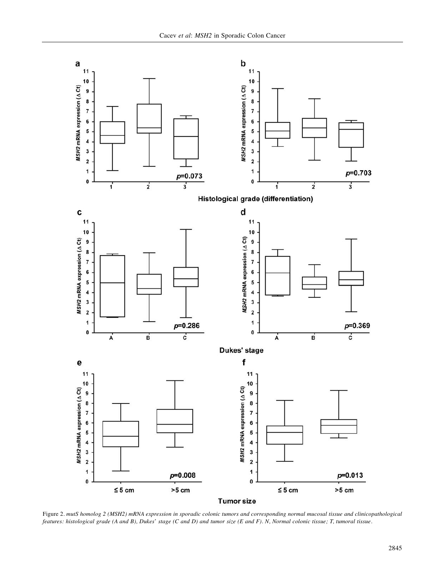

Figure 2. mutS homolog 2 (MSH2) mRNA expression in sporadic colonic tumors and corresponding normal mucosal tissue and clinicopathological features: histological grade (A and B), Dukes' stage (C and D) and tumor size (E and F). N, Normal colonic tissue; T, tumoral tissue.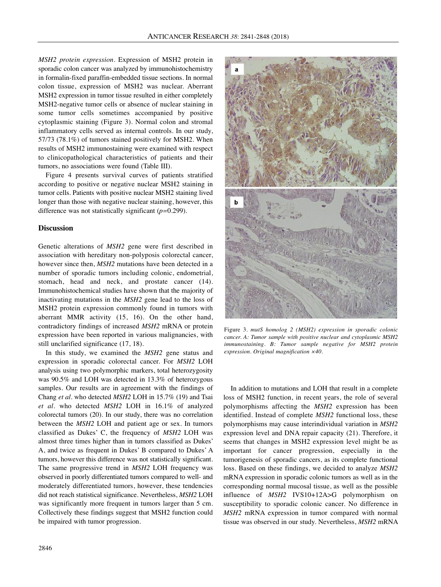*MSH2 protein expression.* Expression of MSH2 protein in sporadic colon cancer was analyzed by immunohistochemistry in formalin-fixed paraffin-embedded tissue sections. In normal colon tissue, expression of MSH2 was nuclear. Aberrant MSH2 expression in tumor tissue resulted in either completely MSH2-negative tumor cells or absence of nuclear staining in some tumor cells sometimes accompanied by positive cytoplasmic staining (Figure 3). Normal colon and stromal inflammatory cells served as internal controls. In our study, 57/73 (78.1%) of tumors stained positively for MSH2. When results of MSH2 immunostaining were examined with respect to clinicopathological characteristics of patients and their tumors, no associations were found (Table III).

Figure 4 presents survival curves of patients stratified according to positive or negative nuclear MSH2 staining in tumor cells. Patients with positive nuclear MSH2 staining lived longer than those with negative nuclear staining, however, this difference was not statistically significant (*p=*0.299).

## **Discussion**

Genetic alterations of *MSH2* gene were first described in association with hereditary non-polyposis colorectal cancer, however since then, *MSH2* mutations have been detected in a number of sporadic tumors including colonic, endometrial, stomach, head and neck, and prostate cancer (14). Immunohistochemical studies have shown that the majority of inactivating mutations in the *MSH2* gene lead to the loss of MSH2 protein expression commonly found in tumors with aberrant MMR activity (15, 16). On the other hand, contradictory findings of increased *MSH2* mRNA or protein expression have been reported in various malignancies, with still unclarified significance (17, 18).

In this study, we examined the *MSH2* gene status and expression in sporadic colorectal cancer. For *MSH2* LOH analysis using two polymorphic markers, total heterozygosity was 90.5% and LOH was detected in 13.3% of heterozygous samples. Our results are in agreement with the findings of Chang *et al.* who detected *MSH2* LOH in 15.7% (19) and Tsai *et al.* who detected *MSH2* LOH in 16.1% of analyzed colorectal tumors (20). In our study, there was no correlation between the *MSH2* LOH and patient age or sex. In tumors classified as Dukes' C, the frequency of *MSH2* LOH was almost three times higher than in tumors classified as Dukes' A, and twice as frequent in Dukes' B compared to Dukes' A tumors, however this difference was not statistically significant. The same progressive trend in *MSH2* LOH frequency was observed in poorly differentiated tumors compared to well- and moderately differentiated tumors, however, these tendencies did not reach statistical significance. Nevertheless, *MSH2* LOH was significantly more frequent in tumors larger than 5 cm. Collectively these findings suggest that MSH2 function could be impaired with tumor progression.



Figure 3*. mutS homolog 2 (MSH2) expression in sporadic colonic cancer. A: Tumor sample with positive nuclear and cytoplasmic MSH2 immunostaining. B: Tumor sample negative for MSH2 protein expression. Original magnification ×40.*

In addition to mutations and LOH that result in a complete loss of MSH2 function, in recent years, the role of several polymorphisms affecting the *MSH2* expression has been identified. Instead of complete *MSH2* functional loss, these polymorphisms may cause interindividual variation in *MSH2* expression level and DNA repair capacity (21). Therefore, it seems that changes in MSH2 expression level might be as important for cancer progression, especially in the tumorigenesis of sporadic cancers, as its complete functional loss. Based on these findings, we decided to analyze *MSH2* mRNA expression in sporadic colonic tumors as well as in the corresponding normal mucosal tissue, as well as the possible influence of *MSH2* IVS10+12A>G polymorphism on susceptibility to sporadic colonic cancer. No difference in *MSH2* mRNA expression in tumor compared with normal tissue was observed in our study. Nevertheless, *MSH2* mRNA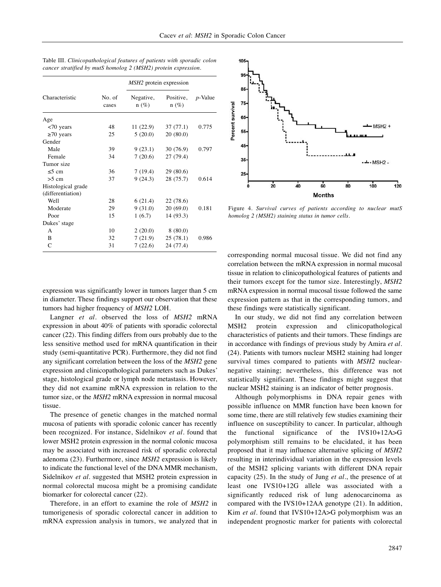| Characteristic     |                 | <i>MSH2</i> protein expression |                      |            |
|--------------------|-----------------|--------------------------------|----------------------|------------|
|                    | No. of<br>cases | Negative,<br>$n(\%)$           | Positive,<br>$n(\%)$ | $p$ -Value |
| Age                |                 |                                |                      |            |
| $< 70$ years       | 48              | 11 (22.9)                      | 37 (77.1)            | 0.775      |
| $\geq 70$ years    | 25              | 5(20.0)                        | 20(80.0)             |            |
| Gender             |                 |                                |                      |            |
| Male               | 39              | 9(23.1)                        | 30 (76.9)            | 0.797      |
| Female             | 34              | 7(20.6)                        | 27 (79.4)            |            |
| Tumor size         |                 |                                |                      |            |
| $\leq$ 5 cm        | 36              | 7(19.4)                        | 29(80.6)             |            |
| $>5$ cm            | 37              | 9(24.3)                        | 28 (75.7)            | 0.614      |
| Histological grade |                 |                                |                      |            |
| (differentiation)  |                 |                                |                      |            |
| Well               | 28              | 6(21.4)                        | 22 (78.6)            |            |
| Moderate           | 29              | 9(31.0)                        | 20(69.0)             | 0.181      |
| Poor               | 15              | 1(6.7)                         | 14 (93.3)            |            |
| Dukes' stage       |                 |                                |                      |            |
| A                  | 10              | 2(20.0)                        | 8(80.0)              |            |
| B                  | 32              | 7(21.9)                        | 25(78.1)             | 0.986      |
| C                  | 31              | 7(22.6)                        | 24 (77.4)            |            |

| Table III. Clinicopathological features of patients with sporadic colon |  |
|-------------------------------------------------------------------------|--|
| cancer stratified by mutS homolog 2 (MSH2) protein expression.          |  |



Figure 4. *Survival curves of patients according to nuclear mutS homolog 2 (MSH2) staining status in tumor cells.*

expression was significantly lower in tumors larger than 5 cm in diameter. These findings support our observation that these tumors had higher frequency of *MSH2* LOH.

Langner *et al.* observed the loss of *MSH2* mRNA expression in about 40% of patients with sporadic colorectal cancer (22). This finding differs from ours probably due to the less sensitive method used for mRNA quantification in their study (semi-quantitative PCR). Furthermore, they did not find any significant correlation between the loss of the *MSH2* gene expression and clinicopathological parameters such as Dukes' stage, histological grade or lymph node metastasis. However, they did not examine mRNA expression in relation to the tumor size, or the *MSH2* mRNA expression in normal mucosal tissue.

The presence of genetic changes in the matched normal mucosa of patients with sporadic colonic cancer has recently been recognized. For instance, Sidelnikov *et al.* found that lower MSH2 protein expression in the normal colonic mucosa may be associated with increased risk of sporadic colorectal adenoma (23). Furthermore, since *MSH2* expression is likely to indicate the functional level of the DNA MMR mechanism, Sidelnikov *et al.* suggested that MSH2 protein expression in normal colorectal mucosa might be a promising candidate biomarker for colorectal cancer (22).

Therefore, in an effort to examine the role of *MSH2* in tumorigenesis of sporadic colorectal cancer in addition to mRNA expression analysis in tumors, we analyzed that in corresponding normal mucosal tissue. We did not find any correlation between the mRNA expression in normal mucosal tissue in relation to clinicopathological features of patients and their tumors except for the tumor size. Interestingly, *MSH2* mRNA expression in normal mucosal tissue followed the same expression pattern as that in the corresponding tumors, and these findings were statistically significant.

In our study, we did not find any correlation between MSH2 protein expression and clinicopathological characteristics of patients and their tumors. These findings are in accordance with findings of previous study by Amira *et al.* (24). Patients with tumors nuclear MSH2 staining had longer survival times compared to patients with *MSH2* nuclearnegative staining; nevertheless, this difference was not statistically significant. These findings might suggest that nuclear MSH2 staining is an indicator of better prognosis.

Although polymorphisms in DNA repair genes with possible influence on MMR function have been known for some time, there are still relatively few studies examining their influence on susceptibility to cancer. In particular, although the functional significance of the IVS10+12A>G polymorphism still remains to be elucidated, it has been proposed that it may influence alternative splicing of *MSH2* resulting in interindividual variation in the expression levels of the MSH2 splicing variants with different DNA repair capacity (25). In the study of Jung *et al.*, the presence of at least one IVS10+12G allele was associated with a significantly reduced risk of lung adenocarcinoma as compared with the IVS10+12AA genotype (21). In addition, Kim *et al.* found that IVS10+12A>G polymorphism was an independent prognostic marker for patients with colorectal